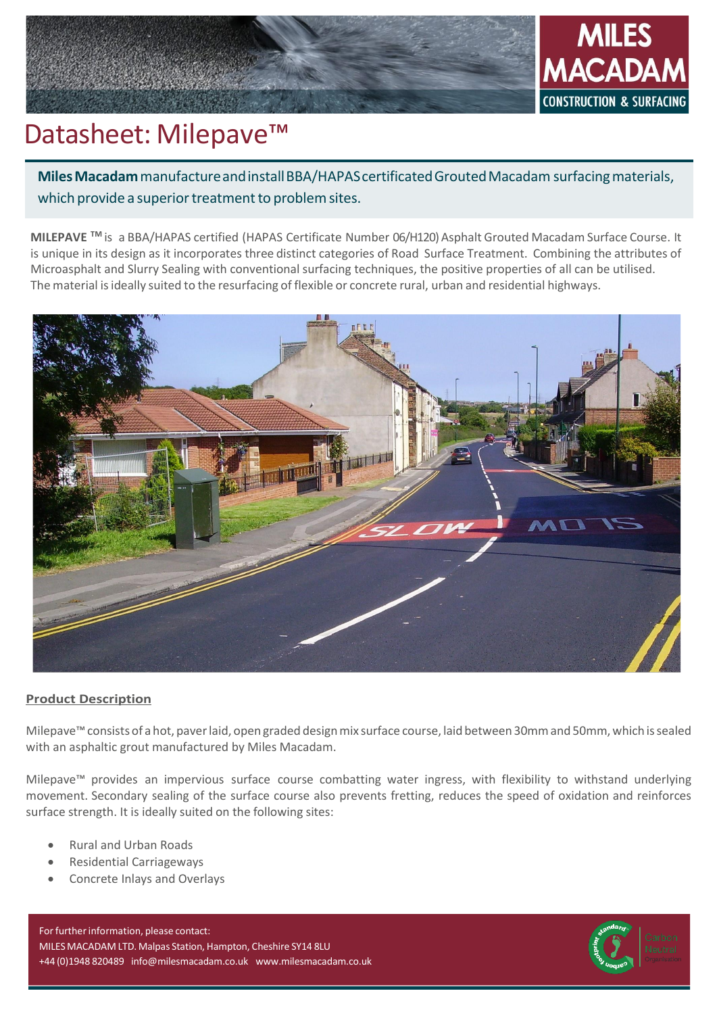

# Datasheet: Milepave<sup>™</sup>

**Miles Macadam** manufacture and install BBA/HAPAS certificated Grouted Macadam surfacing materials, which provide a superior treatment to problem sites.

**MILEPAVE TM** is a BBA/HAPAS certified (HAPAS Certificate Number 06/H120) Asphalt Grouted Macadam Surface Course. It is unique in its design as it incorporates three distinct categories of Road Surface Treatment. Combining the attributes of Microasphalt and Slurry Sealing with conventional surfacing techniques, the positive properties of all can be utilised. The material isideally suited to the resurfacing of flexible or concrete rural, urban and residential highways.



# **Product Description**

Milepave<sup>™</sup> consists of a hot, paver laid, open graded design mix surface course, laid between 30mm and 50mm, which is sealed with an asphaltic grout manufactured by Miles Macadam.

Milepave™ provides an impervious surface course combatting water ingress, with flexibility to withstand underlying movement. Secondary sealing of the surface course also prevents fretting, reduces the speed of oxidation and reinforces surface strength. It is ideally suited on the following sites:

- Rural and Urban Roads
- Residential Carriageways
- Concrete Inlays and Overlays

For further information, please contact: MILESMACADAM LTD. Malpas Station, Hampton, Cheshire SY14 8LU +44 (0)1948 820489 [info@milesmacadam.co.uk](mailto:info@milesmacadam.co.uk) [www.milesmacadam.co.uk](http://www.milesmacadam.co.uk/)